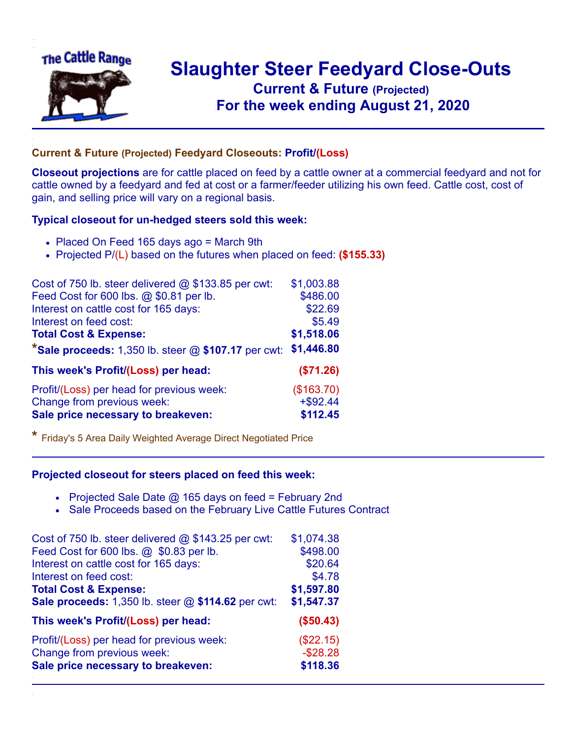

## **Slaughter Steer Feedyard Close-Outs Current & Future (Projected)** .**For the week ending August 21, 2020**

## **Current & Future (Projected) Feedyard Closeouts: Profit/(Loss)**

**Closeout projections** are for cattle placed on feed by a cattle owner at a commercial feedyard and not for cattle owned by a feedyard and fed at cost or a farmer/feeder utilizing his own feed. Cattle cost, cost of gain, and selling price will vary on a regional basis.

## **Typical closeout for un-hedged steers sold this week:**

- Placed On Feed 165 days ago = March 9th
- Projected P/(L) based on the futures when placed on feed: **(\$155.33)**

| Cost of 750 lb. steer delivered $@$ \$133.85 per cwt:   | \$1,003.88  |
|---------------------------------------------------------|-------------|
| Feed Cost for 600 lbs. @ \$0.81 per lb.                 | \$486.00    |
| Interest on cattle cost for 165 days:                   | \$22.69     |
| Interest on feed cost:                                  | \$5.49      |
| <b>Total Cost &amp; Expense:</b>                        | \$1,518.06  |
| *Sale proceeds: $1,350$ lb. steer $@$ \$107.17 per cwt: | \$1,446.80  |
| This week's Profit/(Loss) per head:                     | (\$71.26)   |
| Profit/(Loss) per head for previous week:               | (\$163.70)  |
| Change from previous week:                              | $+$ \$92.44 |
| Sale price necessary to breakeven:                      | \$112.45    |

**\*** Friday's 5 Area Daily Weighted Average Direct Negotiated Price

## **Projected closeout for steers placed on feed this week:**

- Projected Sale Date  $@$  165 days on feed = February 2nd
- Sale Proceeds based on the February Live Cattle Futures Contract

| Cost of 750 lb. steer delivered $@$ \$143.25 per cwt: | \$1,074.38  |
|-------------------------------------------------------|-------------|
| Feed Cost for 600 lbs. @ \$0.83 per lb.               | \$498.00    |
| Interest on cattle cost for 165 days:                 | \$20.64     |
| Interest on feed cost:                                | \$4.78      |
| <b>Total Cost &amp; Expense:</b>                      | \$1,597.80  |
| Sale proceeds: 1,350 lb. steer @ \$114.62 per cwt:    | \$1,547.37  |
| This week's Profit/(Loss) per head:                   | (\$50.43)   |
| Profit/(Loss) per head for previous week:             | (\$22.15)   |
| Change from previous week:                            | $-$ \$28.28 |
| Sale price necessary to breakeven:                    | \$118.36    |